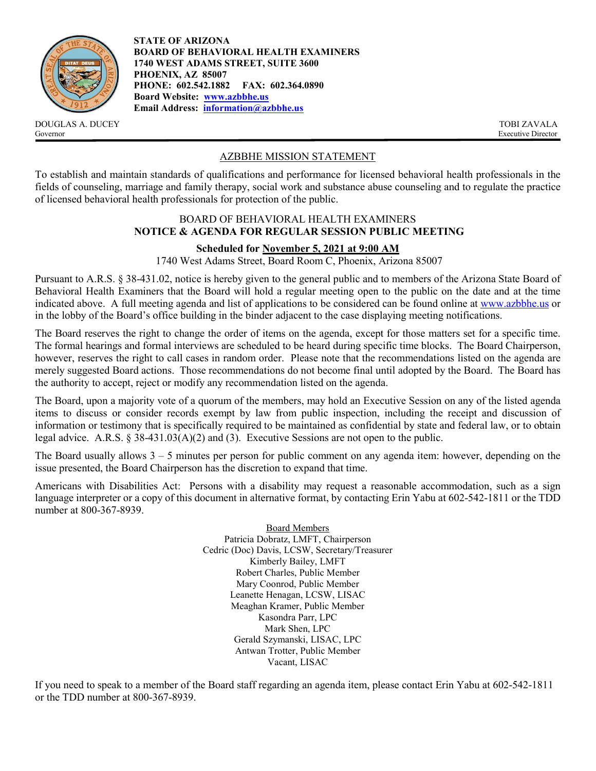

DOUGLAS A. DUCEY TOBI ZAVALA Governor Executive Director

**STATE OF ARIZONA BOARD OF BEHAVIORAL HEALTH EXAMINERS 1740 WEST ADAMS STREET, SUITE 3600 PHOENIX, AZ 85007 PHONE: 602.542.1882 FAX: 602.364.0890 Board Website: [www.azbbhe.us](http://www.azbbhe.us/) Email Address: [information@azbbhe.us](mailto:information@azbbhe.us)**

# AZBBHE MISSION STATEMENT

To establish and maintain standards of qualifications and performance for licensed behavioral health professionals in the fields of counseling, marriage and family therapy, social work and substance abuse counseling and to regulate the practice of licensed behavioral health professionals for protection of the public.

### BOARD OF BEHAVIORAL HEALTH EXAMINERS **NOTICE & AGENDA FOR REGULAR SESSION PUBLIC MEETING**

## **Scheduled for November 5, 2021 at 9:00 AM**

1740 West Adams Street, Board Room C, Phoenix, Arizona 85007

Pursuant to A.R.S. § 38-431.02, notice is hereby given to the general public and to members of the Arizona State Board of Behavioral Health Examiners that the Board will hold a regular meeting open to the public on the date and at the time indicated above. A full meeting agenda and list of applications to be considered can be found online at [www.azbbhe.us](http://www.azbbhe.us/) or in the lobby of the Board's office building in the binder adjacent to the case displaying meeting notifications.

The Board reserves the right to change the order of items on the agenda, except for those matters set for a specific time. The formal hearings and formal interviews are scheduled to be heard during specific time blocks. The Board Chairperson, however, reserves the right to call cases in random order. Please note that the recommendations listed on the agenda are merely suggested Board actions. Those recommendations do not become final until adopted by the Board. The Board has the authority to accept, reject or modify any recommendation listed on the agenda.

The Board, upon a majority vote of a quorum of the members, may hold an Executive Session on any of the listed agenda items to discuss or consider records exempt by law from public inspection, including the receipt and discussion of information or testimony that is specifically required to be maintained as confidential by state and federal law, or to obtain legal advice. A.R.S.  $\S 38-431.03(A)(2)$  and (3). Executive Sessions are not open to the public.

The Board usually allows  $3 - 5$  minutes per person for public comment on any agenda item: however, depending on the issue presented, the Board Chairperson has the discretion to expand that time.

Americans with Disabilities Act: Persons with a disability may request a reasonable accommodation, such as a sign language interpreter or a copy of this document in alternative format, by contacting Erin Yabu at 602-542-1811 or the TDD number at 800-367-8939.

> Board Members Patricia Dobratz, LMFT, Chairperson Cedric (Doc) Davis, LCSW, Secretary/Treasurer Kimberly Bailey, LMFT Robert Charles, Public Member Mary Coonrod, Public Member Leanette Henagan, LCSW, LISAC Meaghan Kramer, Public Member Kasondra Parr, LPC Mark Shen, LPC Gerald Szymanski, LISAC, LPC Antwan Trotter, Public Member Vacant, LISAC

If you need to speak to a member of the Board staff regarding an agenda item, please contact Erin Yabu at 602-542-1811 or the TDD number at 800-367-8939.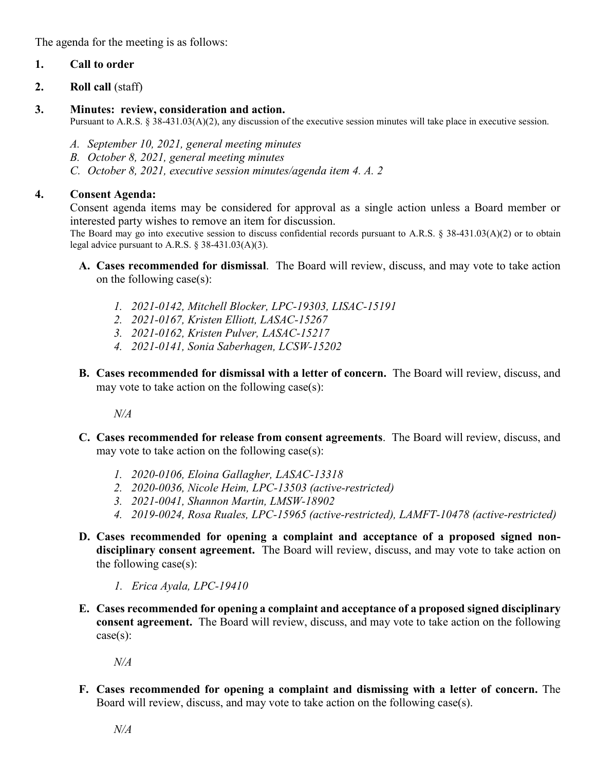The agenda for the meeting is as follows:

# **1. Call to order**

**2. Roll call** (staff)

# **3. Minutes: review, consideration and action.**

Pursuant to A.R.S. § 38-431.03(A)(2), any discussion of the executive session minutes will take place in executive session.

- *A. September 10, 2021, general meeting minutes*
- *B. October 8, 2021, general meeting minutes*
- *C. October 8, 2021, executive session minutes/agenda item 4. A. 2*

# **4. Consent Agenda:**

Consent agenda items may be considered for approval as a single action unless a Board member or interested party wishes to remove an item for discussion.

The Board may go into executive session to discuss confidential records pursuant to A.R.S. § 38-431.03(A)(2) or to obtain legal advice pursuant to A.R.S. § 38-431.03(A)(3).

- **A. Cases recommended for dismissal**. The Board will review, discuss, and may vote to take action on the following case(s):
	- *1. 2021-0142, Mitchell Blocker, LPC-19303, LISAC-15191*
	- *2. 2021-0167, Kristen Elliott, LASAC-15267*
	- *3. 2021-0162, Kristen Pulver, LASAC-15217*
	- *4. 2021-0141, Sonia Saberhagen, LCSW-15202*
- **B. Cases recommended for dismissal with a letter of concern.** The Board will review, discuss, and may vote to take action on the following case $(s)$ :

*N/A*

- **C. Cases recommended for release from consent agreements**. The Board will review, discuss, and may vote to take action on the following case(s):
	- *1. 2020-0106, Eloina Gallagher, LASAC-13318*
	- *2. 2020-0036, Nicole Heim, LPC-13503 (active-restricted)*
	- *3. 2021-0041, Shannon Martin, LMSW-18902*
	- *4. 2019-0024, Rosa Ruales, LPC-15965 (active-restricted), LAMFT-10478 (active-restricted)*
- **D. Cases recommended for opening a complaint and acceptance of a proposed signed nondisciplinary consent agreement.** The Board will review, discuss, and may vote to take action on the following case(s):
	- *1. Erica Ayala, LPC-19410*
- **E. Cases recommended for opening a complaint and acceptance of a proposed signed disciplinary consent agreement.** The Board will review, discuss, and may vote to take action on the following  $case(s)$ :

*N/A*

**F. Cases recommended for opening a complaint and dismissing with a letter of concern.** The Board will review, discuss, and may vote to take action on the following case(s).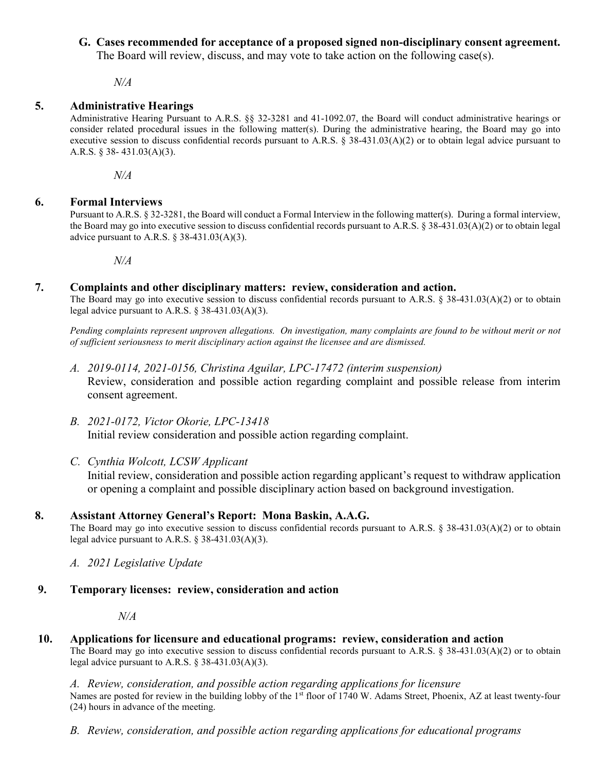# **G. Cases recommended for acceptance of a proposed signed non-disciplinary consent agreement.**

The Board will review, discuss, and may vote to take action on the following case(s).

*N/A*

# **5. Administrative Hearings**

Administrative Hearing Pursuant to A.R.S. §§ 32-3281 and 41-1092.07, the Board will conduct administrative hearings or consider related procedural issues in the following matter(s). During the administrative hearing, the Board may go into executive session to discuss confidential records pursuant to A.R.S.  $\S$  38-431.03(A)(2) or to obtain legal advice pursuant to A.R.S. § 38- 431.03(A)(3).

*N/A*

# **6. Formal Interviews**

Pursuant to A.R.S. § 32-3281, the Board will conduct a Formal Interview in the following matter(s).During a formal interview, the Board may go into executive session to discuss confidential records pursuant to A.R.S. § 38-431.03(A)(2) or to obtain legal advice pursuant to A.R.S.  $\S$  38-431.03(A)(3).

*N/A*

## **7. Complaints and other disciplinary matters: review, consideration and action.**

The Board may go into executive session to discuss confidential records pursuant to A.R.S. § 38-431.03(A)(2) or to obtain legal advice pursuant to A.R.S. § 38-431.03(A)(3).

*Pending complaints represent unproven allegations. On investigation, many complaints are found to be without merit or not of sufficient seriousness to merit disciplinary action against the licensee and are dismissed.*

- *A. 2019-0114, 2021-0156, Christina Aguilar, LPC-17472 (interim suspension)* Review, consideration and possible action regarding complaint and possible release from interim consent agreement.
- *B. 2021-0172, Victor Okorie, LPC-13418*  Initial review consideration and possible action regarding complaint.
- *C. Cynthia Wolcott, LCSW Applicant* Initial review, consideration and possible action regarding applicant's request to withdraw application or opening a complaint and possible disciplinary action based on background investigation.

# **8. Assistant Attorney General's Report: Mona Baskin, A.A.G.**

The Board may go into executive session to discuss confidential records pursuant to A.R.S. § 38-431.03(A)(2) or to obtain legal advice pursuant to A.R.S.  $\S$  38-431.03(A)(3).

- *A. 2021 Legislative Update*
- **9. Temporary licenses: review, consideration and action**

*N/A*

**10. Applications for licensure and educational programs: review, consideration and action** The Board may go into executive session to discuss confidential records pursuant to A.R.S. § 38-431.03(A)(2) or to obtain

legal advice pursuant to A.R.S.  $\S$  38-431.03(A)(3).

*A. Review, consideration, and possible action regarding applications for licensure* Names are posted for review in the building lobby of the 1<sup>st</sup> floor of 1740 W. Adams Street, Phoenix, AZ at least twenty-four (24) hours in advance of the meeting.

*B. Review, consideration, and possible action regarding applications for educational programs*